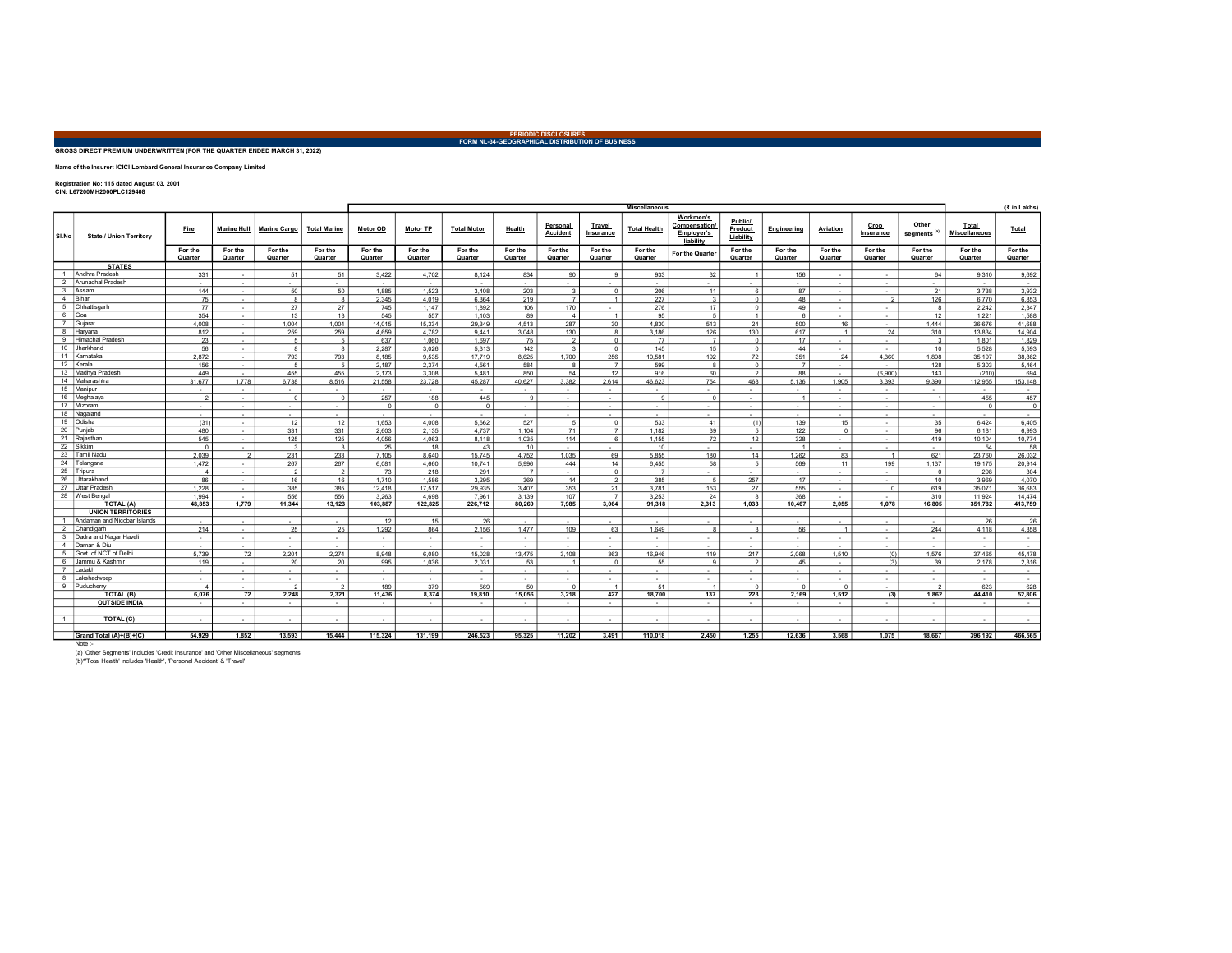## PERIODIC DISCLOSURES FORM NL-34-GEOGRAPHICAL DISTRIBUTION OF BUSINESS

## GROSS DIRECT PREMIUM UNDERWRITTEN (FOR THE QUARTER ENDED MARCH 31, 2022)

Name of the Insurer: ICICI Lombard General Insurance Company Limited

Registration No: 115 dated August 03, 2001 CIN: L67200MH2000PLC129408

|                         |                                   |                          |                    |                     |                      | <b>Miscellaneous</b> |                    |                       |                    |                             |                     |                     |                                                             |                                 |                    | (₹ in Lakhs)             |                    |                                  |                               |                    |
|-------------------------|-----------------------------------|--------------------------|--------------------|---------------------|----------------------|----------------------|--------------------|-----------------------|--------------------|-----------------------------|---------------------|---------------------|-------------------------------------------------------------|---------------------------------|--------------------|--------------------------|--------------------|----------------------------------|-------------------------------|--------------------|
| SI.No                   | <b>State / Union Territory</b>    | Fire                     | <b>Marine Hull</b> | <b>Marine Cargo</b> | <b>Total Marine</b>  | Motor OD             | Motor TP           | <b>Total Motor</b>    | Health             | Personal<br><b>Accident</b> | Travel<br>Insurance | <b>Total Health</b> | Workmen's<br><b>Compensation</b><br>Employer's<br>liability | Public/<br>Product<br>Liability | Engineering        | Aviation                 | Crop<br>Insurance  | Other<br>segments <sup>(a)</sup> | Total<br><b>Miscellaneous</b> | Total              |
|                         |                                   | For the<br>Quarter       | For the<br>Quarter | For the<br>Quarter  | For the<br>Quarter   | For the<br>Quarter   | For the<br>Quarter | For the<br>Quarter    | For the<br>Quarter | For the<br>Quarter          | For the<br>Quarter  | For the<br>Quarter  | For the Quarter                                             | For the<br>Quarter              | For the<br>Quarter | For the<br>Quarter       | For the<br>Quarter | For the<br>Quarter               | For the<br>Quarter            | For the<br>Quarter |
|                         | <b>STATES</b>                     |                          |                    |                     |                      |                      |                    |                       |                    |                             |                     |                     |                                                             |                                 |                    |                          |                    |                                  |                               |                    |
|                         | Andhra Pradesh                    | 331                      | $\sim$             | 51                  | 51                   | 3,422                | 4,702              | 8,124                 | 834                | 90                          | $\mathbf{q}$        | 933                 | 32                                                          |                                 | 156                | $\overline{\phantom{a}}$ | $\sim$             | 64                               | 9,310                         | 9,692              |
| $\overline{2}$          | Arunachal Pradesh                 | $\sim$                   | $\sim$             | $\sim$              | $\sim$               | $\sim$               | $\sim$             | $\sim$                |                    | $\sim$                      | $\sim$              |                     | $\sim$                                                      | $\sim$                          | $\sim$             | $\sim$                   | $\sim$             | $\sim$                           |                               | $\sim$             |
| $\overline{\mathbf{3}}$ | Assam                             | 144                      | $\sim$             | 50                  | 50                   | 1.885                | 1.523              | 3.408                 | 203                | $\overline{\mathbf{3}}$     | $\circ$             | 206                 | 11                                                          | 6                               | 87                 | $\sim$                   | $\sim$             | 21                               | 3.738                         | 3,932              |
| $\overline{4}$          | Bihar                             | 75                       | $\sim$             | 8                   | 8                    | 2.345                | 4.019              | 6.364                 | 219                | $\overline{7}$              | $\overline{1}$      | 227                 | $\overline{\mathbf{3}}$                                     | $\circ$                         | 48                 | $\sim$                   | $\overline{2}$     | 126                              | 6,770                         | 6.853              |
| 5                       | Chhattisgarh                      | 77                       | $\sim$             | 27                  | 27                   | 745                  | 1.147              | 1,892                 | 106                | 170                         | $\sim$              | 276                 | 17                                                          | $\Omega$                        | 49                 | $\sim$                   | $\sim$             | $\mathbf{a}$                     | 2,242                         | 2,347              |
| 6                       | Goa                               | 354                      | $\sim$             | 13                  | 13                   | 545                  | 557                | 1.103                 | 89                 | $\overline{4}$              | $\overline{1}$      | 95                  | 5                                                           | 1                               | 6                  | ÷                        | $\sim$             | 12                               | 1.221                         | 1,588              |
| 7                       | Guiara                            | 4.008                    | $\sim$             | 1.004               | 1.004                | 14.015               | 15.334             | 29.349                | 4.513              | 287                         | 30                  | 4.830               | 513                                                         | 24                              | 500                | 16                       | $\sim$             | 1.444                            | 36.676                        | 41,688             |
| 8                       | Haryana                           | 812                      | $\sim$             | 259                 | 259                  | 4,659                | 4,782              | 9,441                 | 3,048              | 130                         | 8                   | 3,186               | 126                                                         | 130                             | 617                | $\overline{1}$           | 24                 | 310                              | 13,834                        | 14,904             |
| 9                       | <b>Himachal Pradesh</b>           | 23                       | $\sim$             | 5                   | $5 -$                | 637                  | 1,060              | 1,697                 | 75                 | $\overline{2}$              | $\circ$             | 77                  | $\overline{7}$                                              | $\Omega$                        | 17                 | $\sim$                   | $\sim$             | $\mathbf{3}$                     | 1,801                         | 1,829              |
| 10 <sub>1</sub>         | Jharkhand                         | 56                       | $\sim$             | 8                   | $\mathbf{a}$         | 2.287                | 3.026              | 5.313                 | 142                | $\mathbf{a}$                | $\circ$             | 145                 | 15                                                          | $\Omega$                        | 44                 | $\sim$                   | $\sim$             | 10                               | 5.528                         | 5,593              |
| 11                      | Karnataka                         | 2,872                    | $\sim$             | 793                 | 793                  | 8.185                | 9,535              | 17.719                | 8,625              | 1,700                       | 256                 | 10,581              | 192                                                         | 72                              | 351                | 24                       | 4,360              | 1,898                            | 35,197                        | 38,862             |
| 12<br>13                | Kerala<br>Madhya Pradesh          | 156                      | $\sim$             | 5 <sup>1</sup>      | -5                   | 2.187                | 2,374              | 4,561                 | 584                | 8                           | $\overline{7}$      | 599                 | $\mathbf{a}$                                                | $\Omega$                        | 7                  | $\sim$                   |                    | 128                              | 5,303                         | 5,464              |
| 14                      | Maharashtra                       | 449                      | $\sim$             | 455                 | 455                  | 2.173                | 3,308              | 5,481                 | 850                | 54                          | 12                  | 916                 | 60                                                          | $\mathcal{P}$                   | 88                 | $\sim$                   | (6,900)            | 143                              | (210)                         | 694                |
|                         | 15 Manipur                        | 31.677                   | 1,778              | 6.738<br>$\sim$     | 8.516                | 21.558               | 23,728             | 45,287<br>$\sim$      | 40,627<br>$\sim$   | 3.382                       | 2.614<br>$\sim$     | 46,623<br>$\sim$    | 754<br>$\sim$                                               | 468                             | 5.136<br>$\sim$    | 1,905                    | 3.393<br>$\sim$    | 9.390                            | 112,955<br>$\sim$             | 153,148<br>$\sim$  |
| 16                      | Meghalaya                         | $\sim$<br>$\overline{2}$ | $\sim$<br>$\sim$   | $^{\circ}$          | $\sim$<br>$^{\circ}$ | $\sim$<br>257        | $\sim$<br>188      | 445                   | $\Omega$           | $\sim$<br>$\sim$            | $\sim$              | $\alpha$            | $^{\circ}$                                                  | $\sim$<br>$\sim$                | $\overline{1}$     | $\sim$<br>$\sim$         | $\sim$             | $\sim$                           | 455                           | 457                |
| 17                      | Mizoram                           | $\sim$                   | $\sim$             | $\sim$              |                      | $\overline{0}$       | $^{\circ}$         | $\circ$               |                    | $\sim$                      | $\sim$              |                     |                                                             | $\sim$                          | $\sim$             | $\sim$                   | $\sim$             |                                  | $^{\circ}$                    | $\circ$            |
| 18                      | Nagaland                          | $\sim$                   | $\sim$             | $\sim$              | $\sim$               | $\sim$               | $\sim$             | $\sim$                | $\sim$             | $\sim$                      | $\sim$              | $\sim$              | $\sim$                                                      | $\sim$                          | $\sim$             | $\sim$                   | $\sim$             | $\sim$                           | $\sim$                        | $\sim$             |
|                         | 19 Odisha                         | (31)                     | $\sim$             | 12                  | 12                   | 1.653                | 4.008              | 5.662                 | 527                | 5                           | $\circ$             | 533                 | 41                                                          | (1)                             | 139                | 15                       | $\sim$             | 35                               | 6.424                         | 6.405              |
|                         | 20 Puniab                         | 480                      | $\sim$             | 331                 | 331                  | 2.603                | 2.135              | 4.737                 | 1.104              | 71                          | $\overline{7}$      | 1.182               | 39                                                          | 5 <sub>1</sub>                  | 122                | $\circ$                  | $\sim$             | 96                               | 6.181                         | 6.993              |
|                         | 21 Rajasthan                      | 545                      | $\sim$             | 125                 | 125                  | 4.056                | 4.063              | 8.118                 | 1.035              | 114                         | 6                   | 1.155               | 72                                                          | 12                              | 328                | $\sim$                   | $\sim$             | 419                              | 10.104                        | 10.774             |
| 22                      | Sikkim                            | $\Omega$                 | $\sim$             | $\mathbf{3}$        | $\mathbf{3}$         | 25                   | 18                 | 43                    | 10                 | $\sim$                      | $\sim$              | 10                  |                                                             |                                 | $\overline{1}$     | $\sim$                   | $\mathbf{r}$       |                                  | 54                            | 58                 |
| 23                      | Tamil Nadu                        | 2.039                    | $\overline{2}$     | 231                 | 233                  | 7.105                | 8.640              | 15.745                | 4,752              | 1.035                       | 69                  | 5,855               | 180                                                         | 14                              | 1,262              | 83                       | $\overline{1}$     | 621                              | 23.760                        | 26,032             |
| 24                      | Telangana                         | 1.472                    | $\sim$             | 267                 | 267                  | 6.081                | 4.660              | 10.741                | 5,996              | 444                         | 14                  | 6,455               | 58                                                          | -5.1                            | 569                | 11                       | 199                | 1.137                            | 19.175                        | 20,914             |
| 25                      | Tripura                           | $\boldsymbol{\Lambda}$   | $\sim$             | $\overline{2}$      | $\overline{2}$       | 73                   | 218                | 291                   | $\overline{7}$     | $\sim$                      | $\mathbf{0}$        | $\overline{z}$      | $\sim$ 10 $\pm$                                             | $\sim$                          | $\sim$             | $\sim$                   | $\sim$             | $\Omega$                         | 298                           | 304                |
| 26                      | Uttarakhand                       | 86                       | $\sim$             | 16                  | 16                   | 1.710                | 1,586              | 3,295                 | 369                | 14                          | $\overline{2}$      | 385                 | -5                                                          | 257                             | 17                 | $\sim$                   | $\sim$             | 10                               | 3.969                         | 4,070              |
| 27                      | Uttar Pradesh                     | 1,228                    | $\sim$             | 385                 | 385                  | 12.418               | 17.517             | 29.935                | 3,407              | 353                         | 21                  | 3,781               | 153                                                         | 27                              | 555                | $\sim$                   | $\overline{0}$     | 619                              | 35,071                        | 36,683             |
| 28                      | West Bengal                       | 1.994                    | $\sim$             | 556                 | 556                  | 3,263                | 4.698              | 7,961                 | 3,139              | 107                         | $\overline{7}$      | 3,253               | 24                                                          | 8                               | 368                | $\overline{\phantom{a}}$ |                    | 310                              | 11.924                        | 14,474             |
|                         | TOTAL (A)                         | 48.853                   | 1.779              | 11.344              | 13.123               | 103.887              | 122.825            | 226,712               | 80.269             | 7,985                       | 3.064               | 91.318              | 2.313                                                       | 1.033                           | 10.467             | 2.055                    | 1.078              | 16,805                           | 351.782                       | 413,759            |
|                         | <b>UNION TERRITORIES</b>          |                          |                    |                     |                      |                      |                    |                       |                    |                             |                     |                     |                                                             |                                 |                    |                          |                    |                                  |                               |                    |
|                         | Andaman and Nicobar Islands       | $\sim$                   | $\sim$             | $\sim$              | $\sim$               | 12                   | 15                 | 26                    | $\sim$             | $\sim$                      | $\sim$              | $\sim$              | $\sim$                                                      | $\sim$                          | $\sim$             | $\sim$                   | $\sim$             | $\sim$                           | 26                            | 26                 |
| $\overline{2}$          | Chandigarh                        | 214                      | $\sim$             | 25                  | 25                   | 1.292                | 864                | 2.156                 | 1.477              | 109                         | 63                  | 1.649               | $\mathbf{a}$                                                | $\mathbf{3}$                    | 56                 | $\overline{1}$           | $\sim$             | 244                              | 4.118                         | 4.358              |
| 3                       | Dadra and Nagar Havel             | $\sim$                   | $\sim$             | $\sim$              | $\sim$               | $\sim$               | $\sim$             | $\sim$                | $\sim$             | $\sim$                      | $\sim$              | $\sim$              | $\sim$                                                      | $\sim$                          | $\sim$             | $\sim$                   | $\sim$             | $\sim$                           | $\sim$                        | $\sim$             |
| 4                       | Daman & Diu                       | $\sim$                   | $\sim$             | $\sim$              | $\sim$               | $\sim$               | $\sim$             | $\sim$                | $\sim$             | $\sim$                      | $\sim$              | $\sim$              | $\sim$                                                      | $\sim$                          | $\sim$             | $\sim$                   | $\sim$             | $\sim$                           | $\sim$                        | $\sim$             |
| 5                       | Govt. of NCT of Delhi             | 5,739                    | 72                 | 2,201               | 2,274                | 8,948                | 6.080              | 15,028                | 13,475             | 3,108                       | 363                 | 16,946              | 119                                                         | 217                             | 2,068              | 1,510                    | (0)                | 1,576                            | 37.465                        | 45.478             |
| 6                       | Jammu & Kashmir                   | 119                      | $\sim$             | 20                  | 20                   | 995                  | 1,036              | 2.031                 | 53                 |                             | $\overline{0}$      | 55                  | $\mathbf{q}$                                                | $\mathcal{P}$                   | 45                 | $\sim$                   | (3)                | 39                               | 2.178                         | 2,316              |
|                         | adakh                             | $\sim$                   | $\sim$             | $\sim$              | $\sim$               | $\sim$               | $\sim$             | $\sim$                | $\sim$             | $\sim$                      | $\sim$              | $\sim$              | $\sim$                                                      | $\sim$                          | $\sim$             | $\sim$                   | $\sim$             | $\sim$                           | $\sim$                        | $\sim$             |
| 8                       | Lakshadweep                       | $\sim$                   | $\sim$             | $\sim$              | ÷                    |                      | $\sim$             | $\sim$                |                    | $\sim$                      | $\sim$              |                     |                                                             | ÷                               | $\sim$             | ÷                        | $\sim$             |                                  |                               | $\sim$             |
| 9                       | Puducherry                        | $\overline{4}$           | $\sim$             | $\mathcal{P}$       | $\overline{2}$       | 189                  | 379                | 569                   | 50                 | $\Omega$                    | $\overline{1}$      | 51                  | $\overline{1}$                                              | $\Omega$                        | $\Omega$           | $\Omega$                 | $\sim$             | $\overline{2}$                   | 623                           | 628                |
|                         | TOTAL (B)<br><b>OUTSIDE INDIA</b> | 6,076<br>$\sim$          | 72                 | 2,248<br>$\sim$     | 2,321<br>$\sim$      | 11,436<br>$\sim$     | 8,374<br>$\sim$    | 19,810                | 15,056<br>$\sim$   | 3,218                       | 427<br>$\sim$       | 18,700<br>$\sim$    | 137<br>$\sim$                                               | 223<br>$\sim$                   | 2,169              | 1,512<br>$\sim$          | (3)<br>$\sim$      | 1,862<br>$\sim$                  | 44,410<br>$\sim$              | 52,806             |
|                         |                                   |                          | $\sim$             |                     |                      |                      |                    | $\sim$                |                    | $\sim$                      |                     |                     |                                                             |                                 | $\sim$             |                          |                    |                                  |                               | $\sim$             |
| 1                       | TOTAL (C)                         | $\sim$                   | $\sim$             | ٠                   | $\sim$               |                      |                    | $\tilde{\phantom{a}}$ |                    |                             | $\sim$              |                     |                                                             |                                 | $\sim$             | $\sim$                   |                    |                                  |                               | $\sim$             |
|                         |                                   |                          |                    |                     |                      |                      |                    |                       |                    |                             |                     |                     |                                                             |                                 |                    |                          |                    |                                  |                               |                    |
|                         | Grand Total (A)+(B)+(C)           | 54.929                   | 1.852              | 13,593              | 15.444               | 115,324              | 131,199            | 246.523               | 95.325             | 11.202                      | 3.491               | 110,018             | 2.450                                                       | 1.255                           | 12,636             | 3.568                    | 1.075              | 18.667                           | 396.192                       | 466,565            |

Note :-

(a) 'Other Segments' includes 'Credit Insurance' and 'Other Miscellaneous' segments (b)\*'Total Health' includes 'Health', 'Personal Accident' & 'Travel'